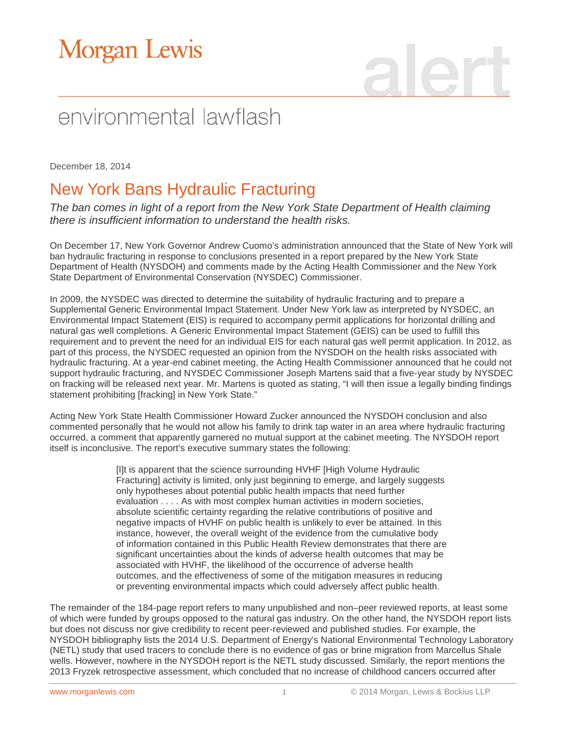# **Morgan Lewis**

## environmental lawflash

December 18, 2014

### New York Bans Hydraulic Fracturing

*The ban comes in light of a report from the New York State Department of Health claiming there is insufficient information to understand the health risks.* 

On December 17, New York Governor Andrew Cuomo's administration announced that the State of New York will ban hydraulic fracturing in response to conclusions presented in a report prepared by the New York State Department of Health (NYSDOH) and comments made by the Acting Health Commissioner and the New York State Department of Environmental Conservation (NYSDEC) Commissioner.

In 2009, the NYSDEC was directed to determine the suitability of hydraulic fracturing and to prepare a Supplemental Generic Environmental Impact Statement. Under New York law as interpreted by NYSDEC, an Environmental Impact Statement (EIS) is required to accompany permit applications for horizontal drilling and natural gas well completions. A Generic Environmental Impact Statement (GEIS) can be used to fulfill this requirement and to prevent the need for an individual EIS for each natural gas well permit application. In 2012, as part of this process, the NYSDEC requested an opinion from the NYSDOH on the health risks associated with hydraulic fracturing. At a year-end cabinet meeting, the Acting Health Commissioner announced that he could not support hydraulic fracturing, and NYSDEC Commissioner Joseph Martens said that a five-year study by NYSDEC on fracking will be released next year. Mr. Martens is quoted as stating, "I will then issue a legally binding findings statement prohibiting [fracking] in New York State."

Acting New York State Health Commissioner Howard Zucker announced the NYSDOH conclusion and also commented personally that he would not allow his family to drink tap water in an area where hydraulic fracturing occurred, a comment that apparently garnered no mutual support at the cabinet meeting. The NYSDOH report itself is inconclusive. The report's executive summary states the following:

> [I]t is apparent that the science surrounding HVHF [High Volume Hydraulic Fracturing] activity is limited, only just beginning to emerge, and largely suggests only hypotheses about potential public health impacts that need further evaluation . . . . As with most complex human activities in modern societies, absolute scientific certainty regarding the relative contributions of positive and negative impacts of HVHF on public health is unlikely to ever be attained. In this instance, however, the overall weight of the evidence from the cumulative body of information contained in this Public Health Review demonstrates that there are significant uncertainties about the kinds of adverse health outcomes that may be associated with HVHF, the likelihood of the occurrence of adverse health outcomes, and the effectiveness of some of the mitigation measures in reducing or preventing environmental impacts which could adversely affect public health.

The remainder of the 184-page report refers to many unpublished and non–peer reviewed reports, at least some of which were funded by groups opposed to the natural gas industry. On the other hand, the NYSDOH report lists but does not discuss nor give credibility to recent peer-reviewed and published studies. For example, the NYSDOH bibliography lists the 2014 U.S. Department of Energy's National Environmental Technology Laboratory (NETL) study that used tracers to conclude there is no evidence of gas or brine migration from Marcellus Shale wells. However, nowhere in the NYSDOH report is the NETL study discussed. Similarly, the report mentions the 2013 Fryzek retrospective assessment, which concluded that no increase of childhood cancers occurred after